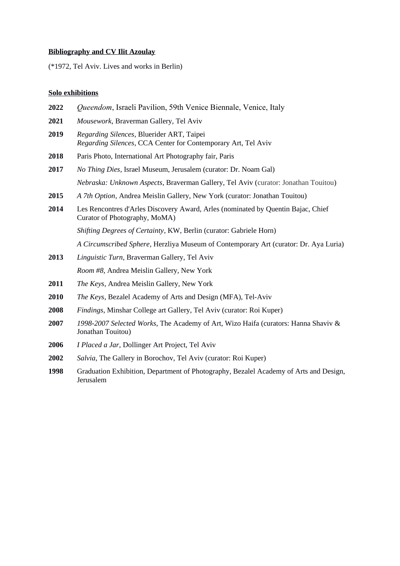# **Bibliography and CV Ilit Azoulay**

(\*1972, Tel Aviv. Lives and works in Berlin)

# **Solo exhibitions**

| 2022 | Queendom, Israeli Pavilion, 59th Venice Biennale, Venice, Italy                                                   |
|------|-------------------------------------------------------------------------------------------------------------------|
| 2021 | Mousework, Braverman Gallery, Tel Aviv                                                                            |
| 2019 | Regarding Silences, Bluerider ART, Taipei<br>Regarding Silences, CCA Center for Contemporary Art, Tel Aviv        |
| 2018 | Paris Photo, International Art Photography fair, Paris                                                            |
| 2017 | No Thing Dies, Israel Museum, Jerusalem (curator: Dr. Noam Gal)                                                   |
|      | Nebraska: Unknown Aspects, Braverman Gallery, Tel Aviv (curator: Jonathan Touitou)                                |
| 2015 | A 7th Option, Andrea Meislin Gallery, New York (curator: Jonathan Touitou)                                        |
| 2014 | Les Rencontres d'Arles Discovery Award, Arles (nominated by Quentin Bajac, Chief<br>Curator of Photography, MoMA) |
|      | Shifting Degrees of Certainty, KW, Berlin (curator: Gabriele Horn)                                                |
|      | A Circumscribed Sphere, Herzliya Museum of Contemporary Art (curator: Dr. Aya Luria)                              |
| 2013 | Linguistic Turn, Braverman Gallery, Tel Aviv                                                                      |
|      | Room #8, Andrea Meislin Gallery, New York                                                                         |
| 2011 | The Keys, Andrea Meislin Gallery, New York                                                                        |
| 2010 | <i>The Keys</i> , Bezalel Academy of Arts and Design (MFA), Tel-Aviv                                              |
| 2008 | Findings, Minshar College art Gallery, Tel Aviv (curator: Roi Kuper)                                              |
| 2007 | 1998-2007 Selected Works, The Academy of Art, Wizo Haifa (curators: Hanna Shaviv &<br>Jonathan Touitou)           |
| 2006 | I Placed a Jar, Dollinger Art Project, Tel Aviv                                                                   |
| 2002 | Salvia, The Gallery in Borochov, Tel Aviv (curator: Roi Kuper)                                                    |
| 1000 | $C \cup T$ . Think $D \cup T$ and $T$ in the field $T$                                                            |

**1998** Graduation Exhibition, Department of Photography, Bezalel Academy of Arts and Design, Jerusalem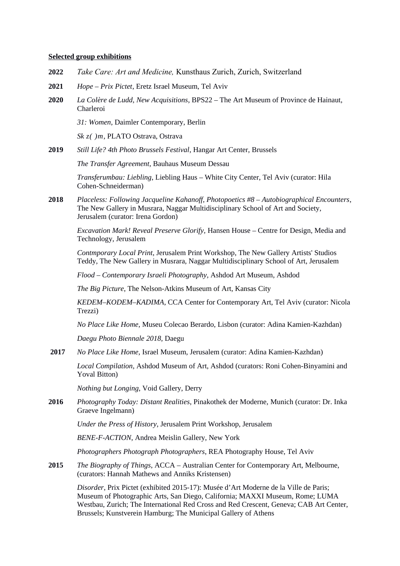#### **Selected group exhibitions**

- **2022** *Take Care: Art and Medicine,* Kunsthaus Zurich, Zurich, Switzerland
- **2021** *Hope Prix Pictet*, Eretz Israel Museum, Tel Aviv
- **2020** *La Colère de Ludd, New Acquisitions*, BPS22 The Art Museum of Province de Hainaut, Charleroi

*31: Women*, Daimler Contemporary, Berlin

*Sk z( )m*, PLATO Ostrava, Ostrava

**2019** *Still Life? 4th Photo Brussels Festival*, Hangar Art Center, Brussels

*The Transfer Agreement*, Bauhaus Museum Dessau

*Transferumbau: Liebling*, Liebling Haus – White City Center, Tel Aviv (curator: Hila Cohen-Schneiderman)

**2018** *Placeless: Following Jacqueline Kahanoff, Photopoetics #8 – Autobiographical Encounters*, The New Gallery in Musrara, Naggar Multidisciplinary School of Art and Society, Jerusalem (curator: Irena Gordon)

*Excavation Mark! Reveal Preserve Glorify,* Hansen House – Centre for Design, Media and Technology, Jerusalem

*Contmporary Local Print*, Jerusalem Print Workshop, The New Gallery Artists' Studios Teddy, The New Gallery in Musrara, Naggar Multidisciplinary School of Art, Jerusalem

*Flood – Contemporary Israeli Photography,* Ashdod Art Museum, Ashdod

*The Big Picture*, The Nelson-Atkins Museum of Art, Kansas City

*KEDEM–KODEM–KADIMA*, CCA Center for Contemporary Art, Tel Aviv (curator: Nicola Trezzi)

*No Place Like Home*, Museu Colecao Berardo, Lisbon (curator: Adina Kamien-Kazhdan)

*Daegu Photo Biennale 2018,* Daegu

**2017** *No Place Like Home*, Israel Museum, Jerusalem (curator: Adina Kamien-Kazhdan)

*Local Compilation*, Ashdod Museum of Art, Ashdod (curators: Roni Cohen-Binyamini and Yoval Bitton)

*Nothing but Longing*, Void Gallery, Derry

**2016** *Photography Today: Distant Realities*, Pinakothek der Moderne, Munich (curator: Dr. Inka Graeve Ingelmann)

*Under the Press of History*, Jerusalem Print Workshop, Jerusalem

*BENE-F-ACTION*, Andrea Meislin Gallery, New York

*Photographers Photograph Photographers*, REA Photography House, Tel Aviv

**2015** *The Biography of Things*, ACCA – Australian Center for Contemporary Art, Melbourne, (curators: Hannah Mathews and Anniks Kristensen)

*Disorder*, Prix Pictet (exhibited 2015-17): Musée d'Art Moderne de la Ville de Paris; Museum of Photographic Arts, San Diego, California; MAXXI Museum, Rome; LUMA Westbau, Zurich; The International Red Cross and Red Crescent, Geneva; CAB Art Center, Brussels; Kunstverein Hamburg; The Municipal Gallery of Athens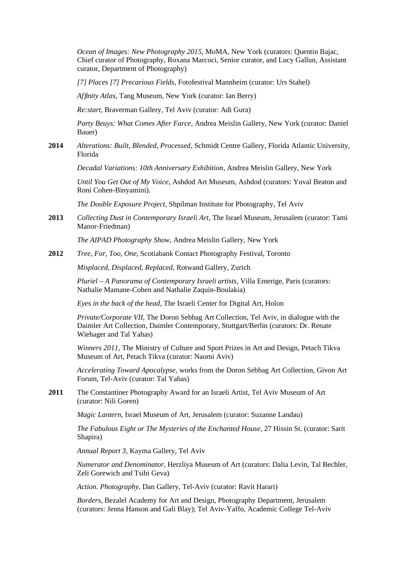*Ocean of Images: New Photography 2015*, MoMA, New York (curators: Quentin Bajac, Chief curator of Photography, Roxana Marcoci, Senior curator, and Lucy Gallun, Assistant curator, Department of Photography)

*[7] Places [7] Precarious Fields*, Fotofestival Mannheim (curator: Urs Stahel)

*Affinity Atlas*, Tang Museum, New York (curator: Ian Berry)

*Re:start*, Braverman Gallery, Tel Aviv (curator: Adi Gura)

*Party Beuys: What Comes After Farce*, Andrea Meislin Gallery, New York (curator: Daniel Bauer)

**2014** *Alterations: Built, Blended, Processed*, Schmidt Centre Gallery, Florida Atlantic University, Florida

*Decadal Variations: 10th Anniversary Exhibition*, Andrea Meislin Gallery, New York

*Until You Get Out of My Voice*, Ashdod Art Museum, Ashdod (curators: Yuval Beaton and Roni Cohen-Binyamini).

*The Double Exposure Project*, Shpilman Institute for Photography, Tel Aviv

**2013** *Collecting Dust in Contemporary Israeli Art*, The Israel Museum, Jerusalem (curator: Tami Manor-Friedman)

*The AIPAD Photography Show*, Andrea Meislin Gallery, New York

**2012** *Tree, For, Too, One,* Scotiabank Contact Photography Festival, Toronto

*Misplaced, Displaced, Replaced*, Rotwand Gallery, Zurich

*Pluriel – A Panorama of Contemporary Israeli artists*, Villa Emerige, Paris (curators: Nathalie Mamane-Cohen and Nathalie Zaquin-Boulakia)

*Eyes in the back of the head*, The Israeli Center for Digital Art, Holon

*Private/Corporate VII*, The Doron Sebbag Art Collection, Tel Aviv, in dialogue with the Daimler Art Collection, Daimler Contemporary, Stuttgart/Berlin (curators: Dr. Renate Wiehager and Tal Yahas)

*Winners 2011*, The Ministry of Culture and Sport Prizes in Art and Design, Petach Tikva Museum of Art, Petach Tikva (curator: Naomi Aviv)

*Accelerating Toward Apocalypse*, works from the Doron Sebbag Art Collection, Givon Art Forum, Tel-Aviv (curator: Tal Yahas)

2011 The Constantiner Photography Award for an Israeli Artist, Tel Aviv Museum of Art (curator: Nili Goren)

*Magic Lantern*, Israel Museum of Art, Jerusalem (curator: Suzanne Landau)

*The Fabulous Eight or The Mysteries of the Enchanted House*, 27 Hissin St. (curator: Sarit Shapira)

*Annual Report 3*, Kayma Gallery, Tel Aviv

*Numerator and Denominator,* Herzliya Museum of Art (curators: Dalia Levin, Tal Bechler, Zeli Gorewich and Tsibi Geva)

*Action. Photography*, Dan Gallery, Tel-Aviv (curator: Ravit Harari)

*Borders*, Bezalel Academy for Art and Design, Photography Department, Jerusalem (curators: Jenna Hanson and Gali Blay); Tel Aviv-Yaffo, Academic College Tel-Aviv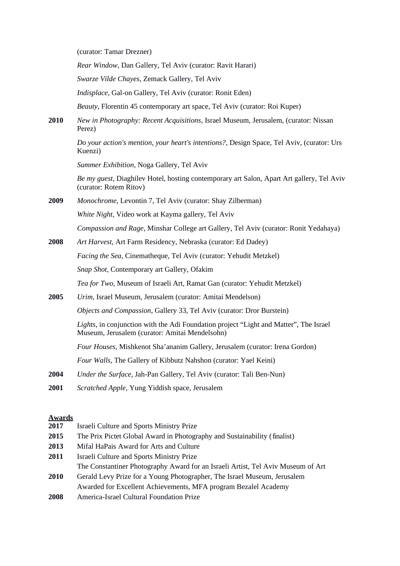(curator: Tamar Drezner)

*Rear Window*, Dan Gallery, Tel Aviv (curator: Ravit Harari)

*Swarze Vilde Chayes*, Zemack Gallery, Tel Aviv

*Indisplace*, Gal-on Gallery, Tel Aviv (curator: Ronit Eden)

*Beauty*, Florentin 45 contemporary art space, Tel Aviv (curator: Roi Kuper)

**2010** *New in Photography: Recent Acquisitions*, Israel Museum, Jerusalem, (curator: Nissan Perez)

> *Do your action's mention, your heart's intentions?*, Design Space, Tel Aviv, (curator: Urs Kuenzi)

*Summer Exhibition*, Noga Gallery, Tel Aviv

*Be my guest*, Diaghilev Hotel, hosting contemporary art Salon, Apart Art gallery, Tel Aviv (curator: Rotem Ritov)

**2009** *Monochrome*, Levontin 7, Tel Aviv (curator: Shay Zilberman) *White Night*, Video work at Kayma gallery, Tel Aviv

*Compassion and Rage*, Minshar College art Gallery, Tel Aviv (curator: Ronit Yedahaya)

**2008** *Art Harvest,* Art Farm Residency, Nebraska (curator: Ed Dadey) *Facing the Sea*, Cinematheque, Tel Aviv (curator: Yehudit Metzkel) *Snap Shot*, Contemporary art Gallery, Ofakim

*Tea for Two*, Museum of Israeli Art, Ramat Gan (curator: Yehudit Metzkel)

**2005** *Urim*, Israel Museum, Jerusalem (curator: Amitai Mendelson)

*Objects and Compassion*, Gallery 33, Tel Aviv (curator: Dror Burstein)

*Lights*, in conjunction with the Adi Foundation project "Light and Matter", The Israel Museum, Jerusalem (curator: Amitai Mendelsohn)

*Four Houses*, Mishkenot Sha'ananim Gallery, Jerusalem (curator: Irena Gordon)

*Four Walls,* The Gallery of Kibbutz Nahshon (curator: Yael Keini)

- **2004** *Under the Surface*, Jah-Pan Gallery, Tel Aviv (curator: Tali Ben-Nun)
- **2001** *Scratched Apple*, Yung Yiddish space, Jerusalem

### **Awards**

- **2017** Israeli Culture and Sports Ministry Prize
- **2015** The Prix Pictet Global Award in Photography and Sustainability (finalist)
- **2013** Mifal HaPais Award for Arts and Culture
- **2011** Israeli Culture and Sports Ministry Prize

The Constantiner Photography Award for an Israeli Artist, Tel Aviv Museum of Art

- **2010** Gerald Levy Prize for a Young Photographer, The Israel Museum, Jerusalem Awarded for Excellent Achievements, MFA program Bezalel Academy
- **2008** America-Israel Cultural Foundation Prize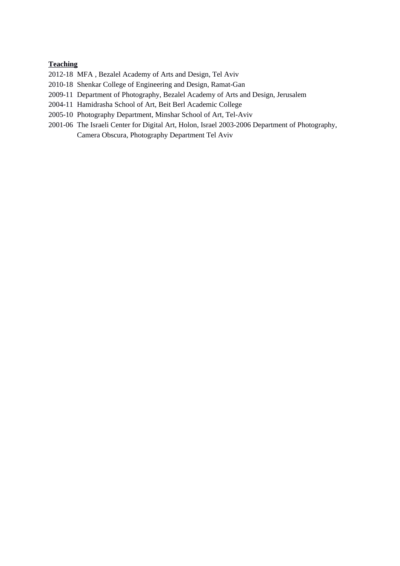## **Teaching**

2012-18 MFA , Bezalel Academy of Arts and Design, Tel Aviv

- 2010-18 Shenkar College of Engineering and Design, Ramat-Gan
- 2009-11 Department of Photography, Bezalel Academy of Arts and Design, Jerusalem
- 2004-11 Hamidrasha School of Art, Beit Berl Academic College
- 2005-10 Photography Department, Minshar School of Art, Tel-Aviv
- 2001-06 The Israeli Center for Digital Art, Holon, Israel 2003-2006 Department of Photography, Camera Obscura, Photography Department Tel Aviv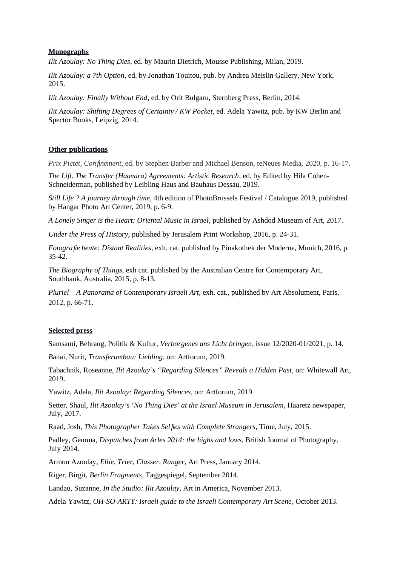### **Monographs**

*Ilit Azoulay: No Thing Dies*, ed. by Maurin Dietrich, Mousse Publishing, Milan, 2019.

*Ilit Azoulay: a 7th Option*, ed. by Jonathan Touitou, pub. by Andrea Meislin Gallery, New York, 2015.

*Ilit Azoulay: Finally Without End*, ed. by Orit Bulgaru, Sternberg Press, Berlin, 2014.

*Ilit Azoulay: Shifting Degrees of Certainty / KW Pocket*, ed. Adela Yawitz, pub. by KW Berlin and Spector Books, Leipzig, 2014.

### **Other publications**

*Prix Pictet, Confinement*, ed. by Stephen Barber and Michael Benson, teNeues Media, 2020, p. 16-17.

*The Lift. The Transfer (Haavara) Agreements: Artistic Research*, ed. by Edited by Hila Cohen-Schneiderman, published by Leibling Haus and Bauhaus Dessau, 2019.

*Still Life ? A journey through time*, 4th edition of PhotoBrussels Festival / Catalogue 2019, published by Hangar Photo Art Center, 2019, p. 6-9.

*A Lonely Singer is the Heart: Oriental Music in Israel*, published by Ashdod Museum of Art, 2017.

*Under the Press of History*, published by Jerusalem Print Workshop, 2016, p. 24-31.

*Fotografie heute: Distant Realities*, exh. cat. published by Pinakothek der Moderne, Munich, 2016, p. 35-42.

*The Biography of Things*, exh cat. published by the Australian Centre for Contemporary Art, Southbank, Australia, 2015, p. 8-13.

*Pluriel – A Panorama of Contemporary Israeli Art*, exh. cat., published by Art Absolument, Paris, 2012, p. 66-71.

### **Selected press**

Samsami, Behrang, Politik & Kultur, *Verborgenes ans Licht bringen*, issue 12/2020-01/2021, p. 14.

*B*anai, Nurit, *Transferumbau: Liebling*, on: Artforum, 2019.

Tabachnik, Roseanne, *Ilit Azoulay's "Regarding Silences" Reveals a Hidden Past*, on: Whitewall Art, 2019.

Yawitz, Adela, *Ilit Azoulay: Regarding Silences*, on: Artforum, 2019.

Setter, Shaul, *Ilit Azoulay's 'No Thing Dies' at the Israel Museum in Jerusalem*, Haaretz newspaper, July, 2017.

Raad, Josh, *This Photographer Takes Selfies with Complete Strangers*, Time, July, 2015.

Padley, Gemma, *Dispatches from Arles 2014: the highs and lows*, British Journal of Photography, July 2014.

Armon Azoulay*, Ellie, Trier, Classer, Ranger*, Art Press, January 2014.

Riger, Birgit, *Berlin Fragments*, Taggespiegel, September 2014.

Landau, Suzanne, *In the Studio: Ilit Azoulay*, Art in America, November 2013.

Adela Yawitz, *OH-SO-ARTY: Israeli guide to the Israeli Contemporary Art Scene*, October 2013.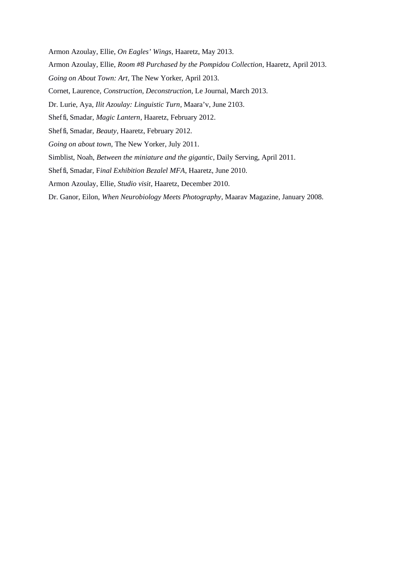Armon Azoulay, Ellie, *On Eagles' Wings*, Haaretz, May 2013.

- Armon Azoulay, Ellie, *Room #8 Purchased by the Pompidou Collection*, Haaretz, April 2013.
- *Going on About Town: Art*, The New Yorker, April 2013.
- Cornet, Laurence, *Construction, Deconstruction*, Le Journal, March 2013.
- Dr. Lurie, Aya, *Ilit Azoulay: Linguistic Turn*, Maara'v, June 2103.
- Sheffi, Smadar, *Magic Lantern*, Haaretz, February 2012.
- Sheffi, Smadar, *Beauty*, Haaretz, February 2012.
- *Going on about town*, The New Yorker, July 2011.
- Simblist, Noah, *Between the miniature and the gigantic*, Daily Serving, April 2011.
- Sheffi, Smadar, F*inal Exhibition Bezalel MFA*, Haaretz, June 2010.
- Armon Azoulay, Ellie, *Studio visit*, Haaretz, December 2010.
- Dr. Ganor, Eilon, *When Neurobiology Meets Photography*, Maarav Magazine, January 2008.